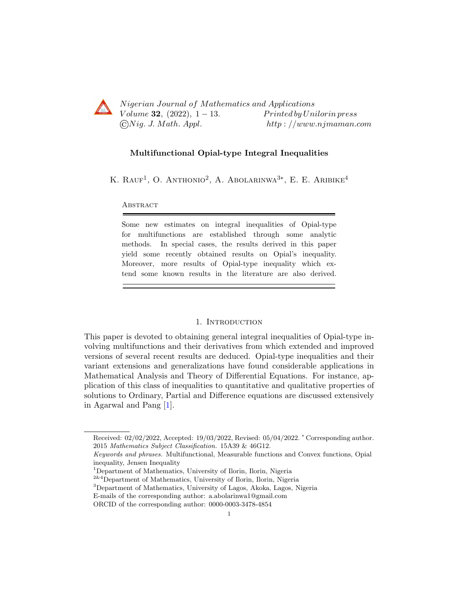

Nigerian Journal of Mathematics and Applications Volume 32, (2022),  $1-13$ . Printed by Unilorin press  $\bigcirc Nig. J. Math. Appl.$  http://www.njmaman.com

# Multifunctional Opial-type Integral Inequalities

K. RAUF<sup>1</sup>, O. ANTHONIO<sup>2</sup>, A. ABOLARINWA<sup>3\*</sup>, E. E. ARIBIKE<sup>4</sup>

**ABSTRACT** 

Some new estimates on integral inequalities of Opial-type for multifunctions are established through some analytic methods. In special cases, the results derived in this paper yield some recently obtained results on Opial's inequality. Moreover, more results of Opial-type inequality which extend some known results in the literature are also derived.

#### 1. INTRODUCTION

This paper is devoted to obtaining general integral inequalities of Opial-type involving multifunctions and their derivatives from which extended and improved versions of several recent results are deduced. Opial-type inequalities and their variant extensions and generalizations have found considerable applications in Mathematical Analysis and Theory of Differential Equations. For instance, application of this class of inequalities to quantitative and qualitative properties of solutions to Ordinary, Partial and Difference equations are discussed extensively in Agarwal and Pang [\[1\]](#page-12-0).

<sup>3</sup>Department of Mathematics, University of Lagos, Akoka, Lagos, Nigeria

Received: 02/02/2022, Accepted: 19/03/2022, Revised: 05/04/2022. <sup>∗</sup> Corresponding author. 2015 Mathematics Subject Classification. 15A39 & 46G12.

Keywords and phrases. Multifunctional, Measurable functions and Convex functions, Opial inequality, Jensen Inequality

<sup>1</sup>Department of Mathematics, University of Ilorin, Ilorin, Nigeria

<sup>2&</sup>amp;4Department of Mathematics, University of Ilorin, Ilorin, Nigeria

E-mails of the corresponding author: a.abolarinwa1@gmail.com

ORCID of the corresponding author: 0000-0003-3478-4854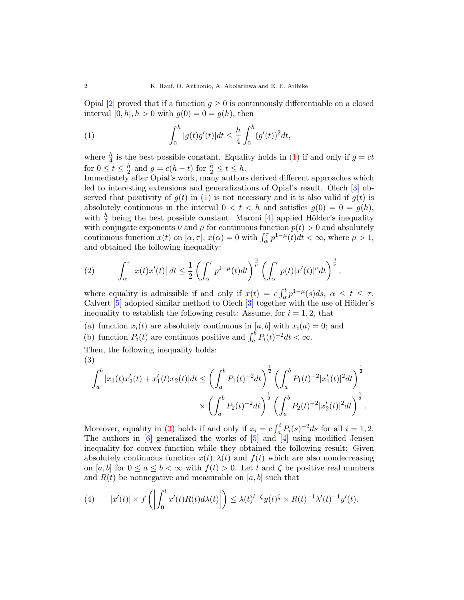Opial  $[2]$  proved that if a function  $g \geq 0$  is continuously differentiable on a closed interval [0, h],  $h > 0$  with  $g(0) = 0 = g(h)$ , then

<span id="page-1-0"></span>(1) 
$$
\int_0^h |g(t)g'(t)|dt \leq \frac{h}{4} \int_0^h (g'(t))^2 dt,
$$

where  $\frac{h}{4}$  is the best possible constant. Equality holds in [\(1\)](#page-1-0) if and only if  $g = ct$ for  $0 \leq t \leq \frac{h}{2}$  $\frac{h}{2}$  and  $g = c(h - t)$  for  $\frac{h}{2} \le t \le h$ .

Immediately after Opial's work, many authors derived different approaches which led to interesting extensions and generalizations of Opial's result. Olech [\[3\]](#page-12-2) observed that positivity of  $g(t)$  in [\(1\)](#page-1-0) is not necessary and it is also valid if  $g(t)$  is absolutely continuous in the interval  $0 < t < h$  and satisfies  $g(0) = 0 = g(h)$ , with  $\frac{h}{2}$  being the best possible constant. Maroni [\[4\]](#page-12-3) applied Hölder's inequality with conjugate exponents  $\nu$  and  $\mu$  for continuous function  $p(t) > 0$  and absolutely continuous function  $x(t)$  on  $[\alpha, \tau]$ ,  $x(\alpha) = 0$  with  $\int_{\alpha}^{\tau} p^{1-\mu}(t)dt < \infty$ , where  $\mu > 1$ , and obtained the following inequality:

(2) 
$$
\int_{\alpha}^{\tau} \left| x(t)x'(t) \right| dt \leq \frac{1}{2} \left( \int_{\alpha}^{\tau} p^{1-\mu}(t) dt \right)^{\frac{2}{\mu}} \left( \int_{\alpha}^{\tau} p(t) |x'(t)|^{\nu} dt \right)^{\frac{2}{\nu}},
$$

where equality is admissible if and only if  $x(t) = c \int_{\alpha}^{t} p^{1-\mu}(s) ds$ ,  $\alpha \leq t \leq \tau$ . Calvert  $[5]$  adopted similar method to Olech  $[3]$  together with the use of Hölder's inequality to establish the following result: Assume, for  $i = 1, 2$ , that

(a) function  $x_i(t)$  are absolutely continuous in [a, b] with  $x_i(a) = 0$ ; and

(b) function  $P_i(t)$  are continuos positive and  $\int_a^b P_i(t)^{-2} dt < \infty$ .

Then, the following inequality holds: (3)

<span id="page-1-1"></span>
$$
\int_{a}^{b} |x_1(t)x_2'(t) + x_1'(t)x_2(t)|dt \le \left(\int_{a}^{b} P_1(t)^{-2}dt\right)^{\frac{1}{2}} \left(\int_{a}^{b} P_1(t)^{-2}|x_1'(t)|^2dt\right)^{\frac{1}{2}} \times \left(\int_{a}^{b} P_2(t)^{-2}dt\right)^{\frac{1}{2}} \left(\int_{a}^{b} P_2(t)^{-2}|x_2'(t)|^2dt\right)^{\frac{1}{2}}.
$$

Moreover, equality in [\(3\)](#page-1-1) holds if and only if  $x_i = c \int_a^t P_i(s)^{-2} ds$  for all  $i = 1, 2$ . The authors in  $[6]$  generalized the works of  $[5]$  and  $[4]$  using modified Jensen inequality for convex function while they obtained the following result: Given absolutely continuous function  $x(t)$ ,  $\lambda(t)$  and  $f(t)$  which are also nondecreasing on [a, b] for  $0 \le a \le b < \infty$  with  $f(t) > 0$ . Let l and  $\zeta$  be positive real numbers and  $R(t)$  be nonnegative and measurable on [a, b] such that

(4) 
$$
|x'(t)| \times f\left(\left|\int_0^t x'(t)R(t)d\lambda(t)\right|\right) \leq \lambda(t)^{1-\zeta}y(t)^{\zeta} \times R(t)^{-1}\lambda'(t)^{-1}y'(t).
$$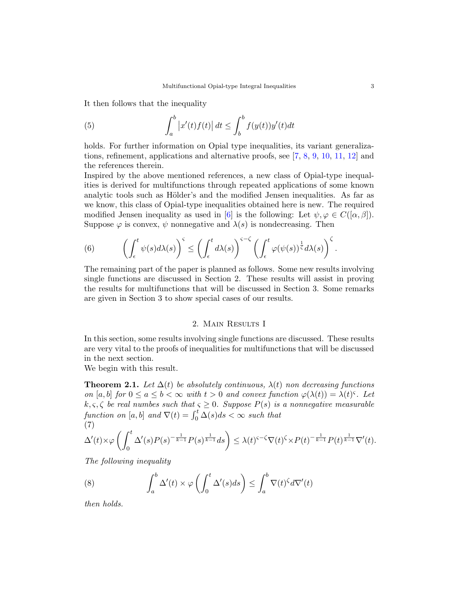It then follows that the inequality

(5) 
$$
\int_a^b \left| x'(t)f(t) \right| dt \le \int_b^b f(y(t))y'(t)dt
$$

holds. For further information on Opial type inequalities, its variant generalizations, refinement, applications and alternative proofs, see [\[7,](#page-12-6) [8,](#page-12-7) [9,](#page-12-8) [10,](#page-12-9) [11,](#page-12-10) [12\]](#page-12-11) and the references therein.

Inspired by the above mentioned references, a new class of Opial-type inequalities is derived for multifunctions through repeated applications of some known analytic tools such as Hölder's and the modified Jensen inequalities. As far as we know, this class of Opial-type inequalities obtained here is new. The required modified Jensen inequality as used in [\[6\]](#page-12-5) is the following: Let  $\psi, \varphi \in C([\alpha, \beta]).$ Suppose  $\varphi$  is convex,  $\psi$  nonnegative and  $\lambda(s)$  is nondecreasing. Then

<span id="page-2-0"></span>(6) 
$$
\left(\int_{\epsilon}^{t} \psi(s) d\lambda(s)\right)^{\varsigma} \leq \left(\int_{\epsilon}^{t} d\lambda(s)\right)^{\varsigma-\zeta} \left(\int_{\epsilon}^{t} \varphi(\psi(s))^{\frac{1}{\varsigma}} d\lambda(s)\right)^{\zeta}.
$$

The remaining part of the paper is planned as follows. Some new results involving single functions are discussed in Section 2. These results will assist in proving the results for multifunctions that will be discussed in Section 3. Some remarks are given in Section 3 to show special cases of our results.

## 2. MAIN RESULTS I

In this section, some results involving single functions are discussed. These results are very vital to the proofs of inequalities for multifunctions that will be discussed in the next section.

We begin with this result.

<span id="page-2-3"></span>**Theorem 2.1.** Let  $\Delta(t)$  be absolutely continuous,  $\lambda(t)$  non decreasing functions on [a, b] for  $0 \le a \le b < \infty$  with  $t > 0$  and convex function  $\varphi(\lambda(t)) = \lambda(t)^s$ . Let  $k, \varsigma, \zeta$  be real numbes such that  $\varsigma \geq 0$ . Suppose  $P(s)$  is a nonnegative measurable function on [a, b] and  $\nabla(t) = \int_0^t \Delta(s)ds < \infty$  such that (7)

<span id="page-2-1"></span>
$$
\Delta'(t)\times \varphi\left(\int_0^t \Delta'(s)P(s)^{-\frac{1}{k-1}}P(s)^{\frac{1}{k-1}}ds\right)\leq \lambda(t)^{\varsigma-\zeta}\nabla(t)^{\zeta}\times P(t)^{-\frac{1}{k-1}}P(t)^{\frac{1}{k-1}}\nabla'(t).
$$

The following inequality

<span id="page-2-2"></span>(8) 
$$
\int_a^b \Delta'(t) \times \varphi \left( \int_0^t \Delta'(s) ds \right) \leq \int_a^b \nabla(t)^\zeta d\nabla'(t)
$$

then holds.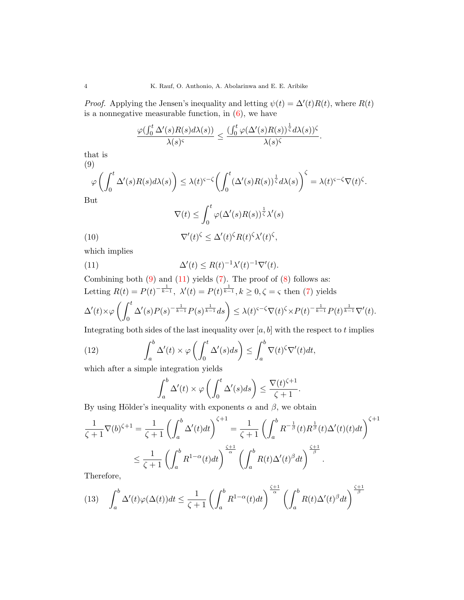*Proof.* Applying the Jensen's inequality and letting  $\psi(t) = \Delta'(t)R(t)$ , where  $R(t)$ is a nonnegative measurable function, in  $(6)$ , we have

$$
\frac{\varphi(\int_0^t \Delta'(s)R(s)d\lambda(s))}{\lambda(s)^{\varsigma}} \le \frac{(\int_0^t \varphi(\Delta'(s)R(s))^{\frac{1}{\varsigma}}d\lambda(s))^{\varsigma}}{\lambda(s)^{\varsigma}}.
$$

that is (9)

<span id="page-3-0"></span>
$$
\varphi\left(\int_0^t \Delta'(s)R(s)d\lambda(s)\right) \leq \lambda(t)^{\varsigma-\zeta}\left(\int_0^t (\Delta'(s)R(s))^{\frac{1}{\zeta}}d\lambda(s)\right)^{\zeta} = \lambda(t)^{\varsigma-\zeta}\nabla(t)^{\zeta}.
$$
  
ut

 $B<sub>1</sub>$ 

(10)  
\n
$$
\nabla(t) \leq \int_0^t \varphi(\Delta'(s)R(s))^{\frac{1}{\zeta}}\lambda'(s)
$$
\n
$$
\nabla'(t)^{\zeta} \leq \Delta'(t)^{\zeta}R(t)^{\zeta}\lambda'(t)^{\zeta},
$$

which implies

<span id="page-3-1"></span>(11) 
$$
\Delta'(t) \le R(t)^{-1} \lambda'(t)^{-1} \nabla'(t).
$$

Combining both  $(9)$  and  $(11)$  yields  $(7)$ . The proof of  $(8)$  follows as: Letting  $R(t) = P(t)^{-\frac{1}{k-1}}, \ \lambda'(t) = P(t)^{\frac{1}{k-1}}, k \geq 0, \zeta = \varsigma \text{ then (7) yields}$  $R(t) = P(t)^{-\frac{1}{k-1}}, \ \lambda'(t) = P(t)^{\frac{1}{k-1}}, k \geq 0, \zeta = \varsigma \text{ then (7) yields}$  $R(t) = P(t)^{-\frac{1}{k-1}}, \ \lambda'(t) = P(t)^{\frac{1}{k-1}}, k \geq 0, \zeta = \varsigma \text{ then (7) yields}$ 

$$
\Delta'(t)\times \varphi\left(\int_0^t \Delta'(s)P(s)^{-\frac{1}{k-1}}P(s)^{\frac{1}{k-1}}ds\right)\leq \lambda(t)^{\varsigma-\zeta}\nabla(t)^{\zeta}\times P(t)^{-\frac{1}{k-1}}P(t)^{\frac{1}{k-1}}\nabla'(t).
$$

Integrating both sides of the last inequality over  $[a, b]$  with the respect to t implies

(12) 
$$
\int_a^b \Delta'(t) \times \varphi \left( \int_0^t \Delta'(s) ds \right) \leq \int_a^b \nabla(t) \zeta \nabla'(t) dt,
$$

which after a simple integration yields

<span id="page-3-2"></span>
$$
\int_{a}^{b} \Delta'(t) \times \varphi \left( \int_{0}^{t} \Delta'(s) ds \right) \le \frac{\nabla(t)^{\zeta+1}}{\zeta+1}.
$$

By using Hölder's inequality with exponents  $\alpha$  and  $\beta$ , we obtain

$$
\frac{1}{\zeta+1} \nabla(b)^{\zeta+1} = \frac{1}{\zeta+1} \left( \int_a^b \Delta'(t) dt \right)^{\zeta+1} = \frac{1}{\zeta+1} \left( \int_a^b R^{-\frac{1}{\beta}}(t) R^{\frac{1}{\beta}}(t) \Delta'(t) (t) dt \right)^{\zeta+1}
$$
  

$$
\leq \frac{1}{\zeta+1} \left( \int_a^b R^{1-\alpha}(t) dt \right)^{\frac{\zeta+1}{\alpha}} \left( \int_a^b R(t) \Delta'(t)^{\beta} dt \right)^{\frac{\zeta+1}{\beta}}.
$$

Therefore,

(13) 
$$
\int_{a}^{b} \Delta'(t)\varphi(\Delta(t))dt \le \frac{1}{\zeta+1} \left(\int_{a}^{b} R^{1-\alpha}(t)dt\right)^{\frac{\zeta+1}{\alpha}} \left(\int_{a}^{b} R(t)\Delta'(t)^{\beta}dt\right)^{\frac{\zeta+1}{\beta}}
$$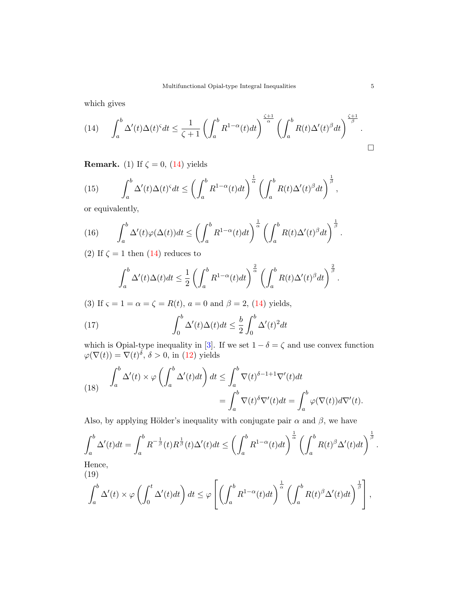which gives

<span id="page-4-0"></span>
$$
(14) \qquad \int_{a}^{b} \Delta'(t)\Delta(t)^{\varsigma}dt \leq \frac{1}{\zeta+1} \left(\int_{a}^{b} R^{1-\alpha}(t)dt\right)^{\frac{\zeta+1}{\alpha}} \left(\int_{a}^{b} R(t)\Delta'(t)^{\beta}dt\right)^{\frac{\zeta+1}{\beta}}.
$$

**Remark.** (1) If  $\zeta = 0$ , [\(14\)](#page-4-0) yields

(15) 
$$
\int_a^b \Delta'(t) \Delta(t)^{\varsigma} dt \leq \left( \int_a^b R^{1-\alpha}(t) dt \right)^{\frac{1}{\alpha}} \left( \int_a^b R(t) \Delta'(t)^{\beta} dt \right)^{\frac{1}{\beta}},
$$

or equivalently,

(16) 
$$
\int_a^b \Delta'(t)\varphi(\Delta(t))dt \leq \left(\int_a^b R^{1-\alpha}(t)dt\right)^{\frac{1}{\alpha}} \left(\int_a^b R(t)\Delta'(t)^{\beta}dt\right)^{\frac{1}{\beta}}.
$$

(2) If  $\zeta = 1$  then [\(14\)](#page-4-0) reduces to

$$
\int_a^b \Delta'(t)\Delta(t)dt \leq \frac{1}{2}\left(\int_a^b R^{1-\alpha}(t)dt\right)^{\frac{2}{\alpha}} \left(\int_a^b R(t)\Delta'(t)^{\beta}dt\right)^{\frac{2}{\beta}}.
$$

(3) If  $\varsigma = 1 = \alpha = \zeta = R(t)$ ,  $a = 0$  and  $\beta = 2$ , [\(14\)](#page-4-0) yields,

(17) 
$$
\int_0^b \Delta'(t)\Delta(t)dt \leq \frac{b}{2}\int_0^b \Delta'(t)^2dt
$$

which is Opial-type inequality in [\[3\]](#page-12-2). If we set  $1 - \delta = \zeta$  and use convex function  $\varphi(\nabla(t)) = \nabla(t)^{\delta}, \delta > 0$ , in [\(12\)](#page-3-2) yields

(18) 
$$
\int_{a}^{b} \Delta'(t) \times \varphi \left( \int_{a}^{b} \Delta'(t) dt \right) dt \leq \int_{a}^{b} \nabla(t)^{\delta - 1 + 1} \nabla'(t) dt
$$

$$
= \int_{a}^{b} \nabla(t)^{\delta} \nabla'(t) dt = \int_{a}^{b} \varphi(\nabla(t)) d\nabla'(t).
$$

Also, by applying Hölder's inequality with conjugate pair  $\alpha$  and  $\beta$ , we have

$$
\int_a^b \Delta'(t)dt = \int_a^b R^{-\frac{1}{\beta}}(t)R^{\frac{1}{\beta}}(t)\Delta'(t)dt \le \left(\int_a^b R^{1-\alpha}(t)dt\right)^{\frac{1}{\alpha}} \left(\int_a^b R(t)^{\beta}\Delta'(t)dt\right)^{\frac{1}{\beta}}.
$$
  
Hence,

(19)

$$
\int_a^b \Delta'(t) \times \varphi \left( \int_0^t \Delta'(t) dt \right) dt \leq \varphi \left[ \left( \int_a^b R^{1-\alpha}(t) dt \right)^{\frac{1}{\alpha}} \left( \int_a^b R(t)^{\beta} \Delta'(t) dt \right)^{\frac{1}{\beta}} \right],
$$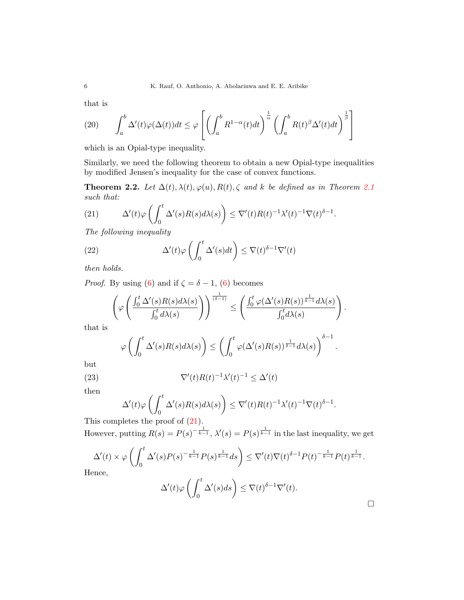that is

(20) 
$$
\int_{a}^{b} \Delta'(t)\varphi(\Delta(t))dt \leq \varphi \left[ \left( \int_{a}^{b} R^{1-\alpha}(t)dt \right)^{\frac{1}{\alpha}} \left( \int_{a}^{b} R(t)^{\beta} \Delta'(t)dt \right)^{\frac{1}{\beta}} \right]
$$

which is an Opial-type inequality.

Similarly, we need the following theorem to obtain a new Opial-type inequalities by modified Jensen's inequality for the case of convex functions.

**Theorem 2.2.** Let  $\Delta(t)$ ,  $\lambda(t)$ ,  $\varphi(u)$ ,  $R(t)$ ,  $\zeta$  and k be defined as in Theorem [2.1](#page-2-3) such that:

<span id="page-5-0"></span>(21) 
$$
\Delta'(t)\varphi\left(\int_0^t \Delta'(s)R(s)d\lambda(s)\right) \leq \nabla'(t)R(t)^{-1}\lambda'(t)^{-1}\nabla(t)^{\delta-1}.
$$

The following inequality

(22) 
$$
\Delta'(t)\varphi\left(\int_0^t \Delta'(s)dt\right) \leq \nabla(t)^{\delta-1}\nabla'(t)
$$

then holds.

*Proof.* By using [\(6\)](#page-2-0) and if  $\zeta = \delta - 1$ , (6) becomes

$$
\left(\varphi\left(\frac{\int_0^t \Delta'(s)R(s)d\lambda(s)}{\int_0^t d\lambda(s)}\right)\right)^{\frac{1}{(\delta-1)}} \leq \left(\frac{\int_0^t \varphi(\Delta'(s)R(s))^{\frac{1}{\delta-1}}d\lambda(s)}{\int_0^t d\lambda(s)}\right).
$$

that is

$$
\varphi\left(\int_0^t \Delta'(s)R(s)d\lambda(s)\right) \leq \left(\int_0^t \varphi(\Delta'(s)R(s))^{\frac{1}{\delta-1}}d\lambda(s)\right)^{\delta-1}.
$$

but

(23) 
$$
\nabla'(t)R(t)^{-1}\lambda'(t)^{-1} \leq \Delta'(t)
$$

then

$$
\Delta'(t)\varphi\left(\int_0^t \Delta'(s)R(s)d\lambda(s)\right) \leq \nabla'(t)R(t)^{-1}\lambda'(t)^{-1}\nabla(t)^{\delta-1}.
$$

This completes the proof of  $(21)$ .

However, putting  $R(s) = P(s)^{-\frac{1}{k-1}}$ ,  $\lambda'(s) = P(s)^{\frac{1}{k-1}}$  in the last inequality, we get

$$
\Delta'(t) \times \varphi \left( \int_0^t \Delta'(s) P(s)^{-\frac{1}{k-1}} P(s)^{\frac{1}{k-1}} ds \right) \leq \nabla'(t) \nabla(t)^{\delta-1} P(t)^{-\frac{1}{k-1}} P(t)^{\frac{1}{k-1}}.
$$
  
ence,

 $He$ 

$$
\Delta'(t)\varphi\left(\int_0^t \Delta'(s)ds\right) \leq \nabla(t)^{\delta-1}\nabla'(t).
$$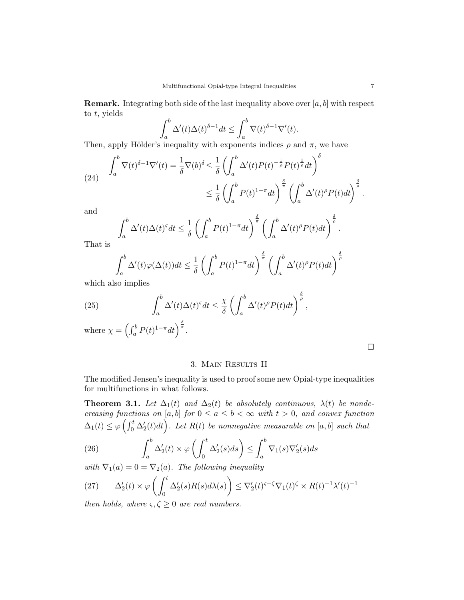**Remark.** Integrating both side of the last inequality above over  $[a, b]$  with respect to t, yields

$$
\int_a^b \Delta'(t)\Delta(t)^{\delta-1}dt \le \int_a^b \nabla(t)^{\delta-1}\nabla'(t).
$$

Then, apply Hölder's inequality with exponents indices  $\rho$  and  $\pi$ , we have

(24) 
$$
\int_{a}^{b} \nabla(t)^{\delta-1} \nabla'(t) dt = \frac{1}{\delta} \nabla(b)^{\delta} \leq \frac{1}{\delta} \left( \int_{a}^{b} \Delta'(t) P(t)^{-\frac{1}{\rho}} P(t)^{\frac{1}{\rho}} dt \right)^{\delta}
$$

$$
\leq \frac{1}{\delta} \left( \int_{a}^{b} P(t)^{1-\pi} dt \right)^{\frac{\delta}{\pi}} \left( \int_{a}^{b} \Delta'(t)^{\rho} P(t) dt \right)^{\frac{\delta}{\rho}}.
$$

and

$$
\int_a^b \Delta'(t)\Delta(t)^{\varsigma}dt \leq \frac{1}{\delta} \left( \int_a^b P(t)^{1-\pi}dt \right)^{\frac{\delta}{\pi}} \left( \int_a^b \Delta'(t)^{\rho} P(t)dt \right)^{\frac{\delta}{\rho}}.
$$

That is

$$
\int_{a}^{b} \Delta'(t)\varphi(\Delta(t))dt \le \frac{1}{\delta} \left( \int_{a}^{b} P(t)^{1-\pi} dt \right)^{\frac{\delta}{\pi}} \left( \int_{a}^{b} \Delta'(t)^{\rho} P(t)dt \right)^{\frac{\delta}{\rho}}
$$

which also implies

(25) 
$$
\int_a^b \Delta'(t) \Delta(t)^\varsigma dt \leq \frac{\chi}{\delta} \left( \int_a^b \Delta'(t)^\rho P(t) dt \right)^{\frac{\delta}{\rho}},
$$

where  $\chi = \left(\int_a^b P(t)^{1-\pi} dt\right)^{\frac{\delta}{\pi}}$ .

### 3. Main Results II

The modified Jensen's inequality is used to proof some new Opial-type inequalities for multifunctions in what follows.

**Theorem 3.1.** Let  $\Delta_1(t)$  and  $\Delta_2(t)$  be absolutely continuous,  $\lambda(t)$  be nondecreasing functions on [a, b] for  $0 \le a \le b < \infty$  with  $t > 0$ , and convex function  $\Delta_1(t) \leq \varphi\left(\int_0^t \Delta_2'(t)dt\right)$ . Let  $R(t)$  be nonnegative measurable on  $[a, b]$  such that

(26) 
$$
\int_a^b \Delta'_2(t) \times \varphi \left( \int_0^t \Delta'_2(s) ds \right) \leq \int_a^b \nabla_1(s) \nabla'_2(s) ds
$$

with  $\nabla_1(a) = 0 = \nabla_2(a)$ . The following inequality

$$
(27)\qquad \Delta_2'(t) \times \varphi \left( \int_0^t \Delta_2'(s) R(s) d\lambda(s) \right) \le \nabla_2'(t)^{\varsigma - \zeta} \nabla_1(t)^{\zeta} \times R(t)^{-1} \lambda'(t)^{-1}
$$

then holds, where  $\varsigma, \zeta \geq 0$  are real numbers.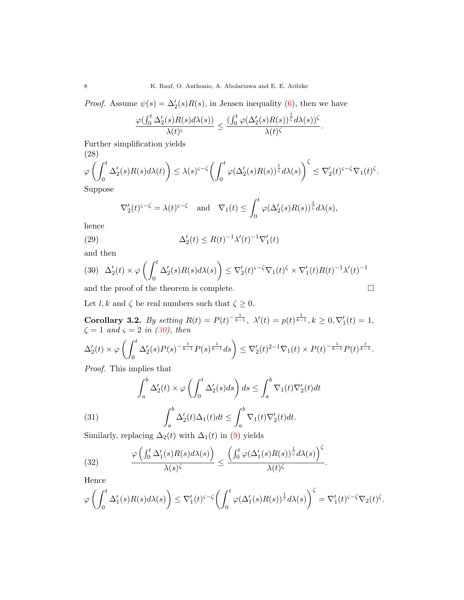8 K. Rauf, O. Anthonio, A. Abolarinwa and E. E. Aribike

*Proof.* Assume  $\psi(s) = \Delta_2'(s)R(s)$ , in Jensen inequality [\(6\)](#page-2-0), then we have

$$
\frac{\varphi(\int_0^t\Delta_2'(s)R(s)d\lambda(s))}{\lambda(t)^\varsigma}\leq \frac{(\int_0^t\varphi(\Delta_2'(s)R(s))^{\frac{1}{\varsigma}}d\lambda(s))^\varsigma}{\lambda(t)^\varsigma}.
$$

Further simplification yields  $(28)$ 

(28)  
\n
$$
\varphi\left(\int_0^t \Delta_2'(s)R(s)d\lambda(t)\right) \leq \lambda(s)^{\varsigma-\zeta}\left(\int_0^t \varphi(\Delta_2'(s)R(s))^{\frac{1}{\zeta}}d\lambda(s)\right)^{\zeta} \leq \nabla_2'(t)^{\varsigma-\zeta}\nabla_1(t)^{\zeta}.
$$
\nSuppose

Suppose

$$
\nabla_2'(t)^{\varsigma-\zeta} = \lambda(t)^{\varsigma-\zeta} \quad \text{and} \quad \nabla_1(t) \le \int_0^t \varphi(\Delta_2'(s)R(s))^{\frac{1}{\zeta}} d\lambda(s),
$$

hence

(29) 
$$
\Delta_2'(t) \le R(t)^{-1} \lambda'(t)^{-1} \nabla_1'(t)
$$

and then

<span id="page-7-0"></span>
$$
(30)\quad \Delta_2'(t) \times \varphi\left(\int_0^t \Delta_2'(s)R(s)d\lambda(s)\right) \leq \nabla_2'(t)^{\varsigma-\zeta}\nabla_1(t)^{\zeta} \times \nabla_1'(t)R(t)^{-1}\lambda'(t)^{-1}
$$

and the proof of the theorem is complete.

$$
\qquad \qquad \Box
$$

Let  $l, k$  and  $\zeta$  be real numbers such that  $\zeta \geq 0$ .

Corollary 3.2. By setting  $R(t) = P(t)^{-\frac{1}{k-1}}$ ,  $\lambda'(t) = p(t)^{\frac{1}{k-1}}$ ,  $k \ge 0$ ,  $\nabla'_1(t) = 1$ ,  $\zeta = 1$  and  $\zeta = 2$  in [\(30\)](#page-7-0), then

$$
\Delta'_2(t) \times \varphi \left( \int_0^t \Delta'_2(s) P(s)^{-\frac{1}{k-1}} P(s)^{\frac{1}{k-1}} ds \right) \leq \nabla'_2(t)^{2-1} \nabla_1(t) \times P(t)^{-\frac{1}{k-1}} P(t)^{\frac{1}{k-1}}.
$$

Proof. This implies that

<span id="page-7-2"></span>
$$
\int_{a}^{b} \Delta'_{2}(t) \times \varphi \left( \int_{0}^{t} \Delta'_{2}(s) ds \right) ds \le \int_{a}^{b} \nabla_{1}(t) \nabla'_{2}(t) dt
$$

(31) 
$$
\int_a^b \Delta'_2(t) \Delta_1(t) dt \le \int_a^b \nabla_1(t) \nabla'_2(t) dt.
$$

Similarly, replacing  $\Delta_2(t)$  with  $\Delta_1(t)$  in [\(9\)](#page-3-0) yields

<span id="page-7-1"></span>(32) 
$$
\frac{\varphi\left(\int_0^t \Delta_1'(s)R(s)d\lambda(s)\right)}{\lambda(s)^\zeta} \leq \frac{\left(\int_0^t \varphi(\Delta_1'(s)R(s))^\frac{1}{\zeta}d\lambda(s)\right)^\zeta}{\lambda(t)^\zeta}.
$$

Hence

$$
\varphi\left(\int_0^t \Delta_1'(s)R(s)d\lambda(s)\right) \leq \nabla_1'(t)^{\varsigma-\zeta}\left(\int_0^t \varphi(\Delta_1'(s)R(s))^{\frac{1}{t}}d\lambda(s)\right)^{\zeta} = \nabla_1'(t)^{\varsigma-\zeta}\nabla_2(t)^{\zeta}.
$$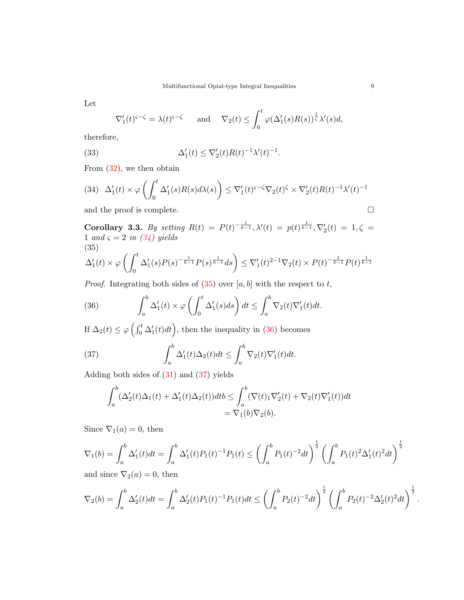Let

$$
\nabla_1'(t)^{\varsigma-\zeta} = \lambda(t)^{\varsigma-\zeta} \quad \text{and} \quad \nabla_2(t) \le \int_0^t \varphi(\Delta_1'(s)R(s))^{\frac{1}{\zeta}} \lambda'(s)ds,
$$

therefore,

(33) 
$$
\Delta'_1(t) \leq \nabla'_2(t)R(t)^{-1}\lambda'(t)^{-1}.
$$

From [\(32\)](#page-7-1), we then obtain

<span id="page-8-0"></span>
$$
(34)\quad \Delta'_1(t) \times \varphi\left(\int_0^t \Delta'_1(s)R(s)d\lambda(s)\right) \leq \nabla'_1(t)^{\varsigma-\zeta}\nabla_2(t)^{\zeta} \times \nabla'_2(t)R(t)^{-1}\lambda'(t)^{-1}
$$

and the proof is complete.  $\hfill \square$ 

**Corollary 3.3.** By setting 
$$
R(t) = P(t)^{-\frac{1}{k-1}}, \lambda'(t) = p(t)^{\frac{1}{k-1}}, \nabla_2'(t) = 1, \zeta = 1
$$
 and  $\zeta = 2$  in (34) yields  
\n(35)  
\n
$$
\Lambda'(t) \times \Omega \left( \int_0^t \Lambda'(s) P(s)^{-\frac{1}{k-1}} P(s)^{\frac{1}{k-1}} ds \right) \leq \nabla'(t)^{2-1} \nabla_1(t) \times P(t)^{-\frac{1}{k-1}} P(t)^{\frac{1}{k-1}}
$$

<span id="page-8-1"></span>
$$
\Delta'_1(t) \times \varphi \left( \int_0^t \Delta'_1(s) P(s)^{-\frac{1}{k-1}} P(s)^{\frac{1}{k-1}} ds \right) \leq \nabla'_1(t)^{2-1} \nabla_2(t) \times P(t)^{-\frac{1}{k-1}} P(t)^{\frac{1}{k-1}}
$$

*Proof.* Integrating both sides of  $(35)$  over  $[a, b]$  with the respect to t,

<span id="page-8-2"></span>(36) 
$$
\int_a^b \Delta'_1(t) \times \varphi \left( \int_0^t \Delta'_1(s) ds \right) dt \leq \int_a^b \nabla_2(t) \nabla'_1(t) dt.
$$

If  $\Delta_2(t) \le \varphi \left( \int_0^t \Delta'_1(t) dt \right)$ , then the inequality in [\(36\)](#page-8-2) becomes

(37) 
$$
\int_a^b \Delta'_1(t) \Delta_2(t) dt \leq \int_a^b \nabla_2(t) \nabla'_1(t) dt.
$$

Adding both sides of [\(31\)](#page-7-2) and [\(37\)](#page-8-3) yields

<span id="page-8-3"></span>
$$
\int_a^b (\Delta'_2(t)\Delta_1(t) + \Delta'_1(t)\Delta_2(t))dt b \le \int_a^b (\nabla(t)_1 \nabla'_2(t) + \nabla_2(t)\nabla'_1(t))dt
$$
  
=  $\nabla_1(b)\nabla_2(b)$ .

Since  $\nabla_1(a) = 0$ , then

$$
\nabla_1(b) = \int_a^b \Delta_1'(t)dt = \int_a^b \Delta_1'(t)P_1(t)^{-1}P_1(t) \le \left(\int_a^b P_1(t)^{-2}dt\right)^{\frac{1}{2}} \left(\int_a^b P_1(t)^2\Delta_1'(t)^2dt\right)^{\frac{1}{2}}
$$

and since  $\nabla_2(a) = 0$ , then

$$
\nabla_2(b) = \int_a^b \Delta'_2(t)dt = \int_a^b \Delta'_2(t)P_1(t)^{-1}P_1(t)dt \le \left(\int_a^b P_2(t)^{-2}dt\right)^{\frac{1}{2}} \left(\int_a^b P_2(t)^{-2}\Delta'_2(t)^2dt\right)^{\frac{1}{2}}.
$$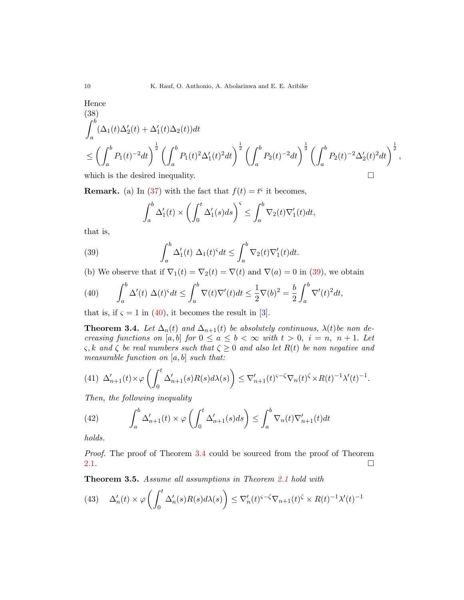Hence

(38)  
\n
$$
\int_{a}^{b} (\Delta_1(t)\Delta_2'(t) + \Delta_1'(t)\Delta_2(t))dt
$$
\n
$$
\leq \left(\int_{a}^{b} P_1(t)^{-2}dt\right)^{\frac{1}{2}} \left(\int_{a}^{b} P_1(t)^{2}\Delta_1'(t)^{2}dt\right)^{\frac{1}{2}} \left(\int_{a}^{b} P_2(t)^{-2}dt\right)^{\frac{1}{2}} \left(\int_{a}^{b} P_2(t)^{-2}\Delta_2'(t)^{2}dt\right)^{\frac{1}{2}},
$$
\nwhich is the desired inequality.

**Remark.** (a) In [\(37\)](#page-8-3) with the fact that  $f(t) = t^{\varsigma}$  it becomes,

<span id="page-9-0"></span>
$$
\int_a^b \Delta'_1(t) \times \left( \int_0^t \Delta'_1(s)ds \right)^{\varsigma} \le \int_a^b \nabla_2(t)\nabla'_1(t)dt,
$$

that is,

(39) 
$$
\int_a^b \Delta'_1(t) \Delta_1(t)^{\varsigma} dt \leq \int_a^b \nabla_2(t) \nabla'_1(t) dt.
$$

(b) We observe that if  $\nabla_1(t) = \nabla_2(t) = \nabla(t)$  and  $\nabla(a) = 0$  in [\(39\)](#page-9-0), we obtain

<span id="page-9-1"></span>(40) 
$$
\int_a^b \Delta'(t) \Delta(t)^s dt \le \int_a^b \nabla(t) \nabla'(t) dt \le \frac{1}{2} \nabla(b)^2 = \frac{b}{2} \int_a^b \nabla'(t)^2 dt,
$$

that is, if  $\zeta = 1$  in [\(40\)](#page-9-1), it becomes the result in [\[3\]](#page-12-2).

<span id="page-9-2"></span>**Theorem 3.4.** Let  $\Delta_n(t)$  and  $\Delta_{n+1}(t)$  be absolutely continuous,  $\lambda(t)$  be non decreasing functions on [a, b] for  $0 \le a \le b < \infty$  with  $t > 0$ ,  $i = n$ ,  $n + 1$ . Let  $\varsigma, k$  and  $\zeta$  be real numbers such that  $\zeta \geq 0$  and also let  $R(t)$  be non negative and measurable function on  $[a, b]$  such that:

$$
(41)\ \Delta'_{n+1}(t)\times\varphi\left(\int_0^t\Delta'_{n+1}(s)R(s)d\lambda(s)\right)\leq \nabla'_{n+1}(t)^{\varsigma-\zeta}\nabla_n(t)^{\zeta}\times R(t)^{-1}\lambda'(t)^{-1}.
$$

Then, the following inequality

(42) 
$$
\int_{a}^{b} \Delta'_{n+1}(t) \times \varphi \left( \int_{0}^{t} \Delta'_{n+1}(s) ds \right) \leq \int_{a}^{b} \nabla_{n}(t) \nabla'_{n+1}(t) dt
$$

holds.

Proof. The proof of Theorem [3.4](#page-9-2) could be sourced from the proof of Theorem [2.1.](#page-2-3)  $\Box$ 

<span id="page-9-3"></span>Theorem 3.5. Assume all assumptions in Theorem [2.1](#page-2-3) hold with

(43) 
$$
\Delta'_n(t) \times \varphi \left( \int_0^t \Delta'_n(s) R(s) d\lambda(s) \right) \leq \nabla'_n(t)^{\varsigma - \zeta} \nabla_{n+1}(t)^{\zeta} \times R(t)^{-1} \lambda'(t)^{-1}
$$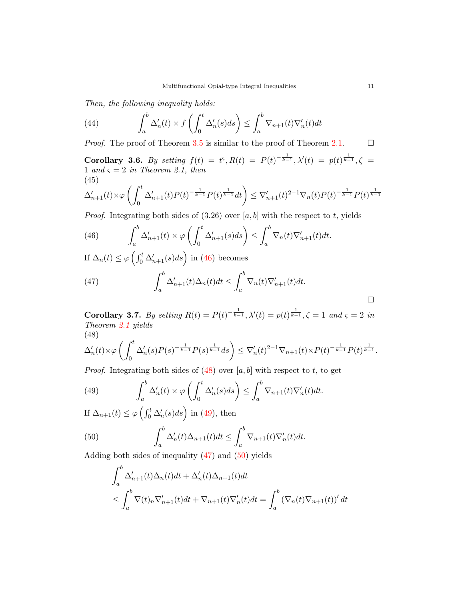Then, the following inequality holds:

(44) 
$$
\int_{a}^{b} \Delta'_{n}(t) \times f\left(\int_{0}^{t} \Delta'_{n}(s)ds\right) \leq \int_{a}^{b} \nabla_{n+1}(t) \nabla'_{n}(t)dt
$$

*Proof.* The proof of Theorem [3.5](#page-9-3) is similar to the proof of Theorem [2.1.](#page-2-3)  $\Box$ 

Corollary 3.6. By setting  $f(t) = t^{\varsigma}, R(t) = P(t)^{-\frac{1}{k-1}}, \lambda'(t) = p(t)^{\frac{1}{k-1}}, \zeta =$ 1 and  $\varsigma = 2$  in Theorem 2.1, then (45)

$$
\Delta'_{n+1}(t)\times \varphi\left(\int_0^t \Delta'_{n+1}(t)P(t)^{-\frac{1}{k-1}}P(t)^{\frac{1}{k-1}}dt\right)\leq \nabla'_{n+1}(t)^{2-1}\nabla_n(t)P(t)^{-\frac{1}{k-1}}P(t)^{\frac{1}{k-1}}
$$

*Proof.* Integrating both sides of  $(3.26)$  over [a, b] with the respect to t, yields

<span id="page-10-0"></span>(46) 
$$
\int_a^b \Delta'_{n+1}(t) \times \varphi \left( \int_0^t \Delta'_{n+1}(s) ds \right) \leq \int_a^b \nabla_n(t) \nabla'_{n+1}(t) dt.
$$

If  $\Delta_n(t) \le \varphi \left( \int_0^t \Delta'_{n+1}(s) ds \right)$  in [\(46\)](#page-10-0) becomes

<span id="page-10-3"></span>(47) 
$$
\int_{a}^{b} \Delta'_{n+1}(t) \Delta_{n}(t) dt \leq \int_{a}^{b} \nabla_{n}(t) \nabla'_{n+1}(t) dt.
$$

Corollary 3.7. By setting  $R(t) = P(t)^{-\frac{1}{k-1}}$ ,  $\lambda'(t) = p(t)^{\frac{1}{k-1}}$ ,  $\zeta = 1$  and  $\zeta = 2$  in Theorem [2.1](#page-2-3) yields (48)

<span id="page-10-1"></span>
$$
\Delta_n'(t)\times \varphi\left(\int_0^t \Delta_n'(s)P(s)^{-\frac{1}{k-1}}P(s)^{\frac{1}{k-1}}ds\right)\leq \nabla_n'(t)^{2-1}\nabla_{n+1}(t)\times P(t)^{-\frac{1}{k-1}}P(t)^{\frac{1}{k-1}}.
$$

*Proof.* Integrating both sides of  $(48)$  over  $[a, b]$  with respect to t, to get

<span id="page-10-2"></span>(49) 
$$
\int_{a}^{b} \Delta'_{n}(t) \times \varphi \left( \int_{0}^{t} \Delta'_{n}(s) ds \right) \leq \int_{a}^{b} \nabla_{n+1}(t) \nabla'_{n}(t) dt.
$$

If  $\Delta_{n+1}(t) \leq \varphi \left( \int_0^t \Delta'_n(s) ds \right)$  in [\(49\)](#page-10-2), then

(50) 
$$
\int_{a}^{b} \Delta'_{n}(t) \Delta_{n+1}(t) dt \leq \int_{a}^{b} \nabla_{n+1}(t) \nabla'_{n}(t) dt.
$$

Adding both sides of inequality  $(47)$  and  $(50)$  yields

<span id="page-10-4"></span>
$$
\int_{a}^{b} \Delta'_{n+1}(t)\Delta_{n}(t)dt + \Delta'_{n}(t)\Delta_{n+1}(t)dt
$$
\n
$$
\leq \int_{a}^{b} \nabla(t)_{n} \nabla'_{n+1}(t)dt + \nabla_{n+1}(t) \nabla'_{n}(t)dt = \int_{a}^{b} (\nabla_{n}(t)\nabla_{n+1}(t))' dt
$$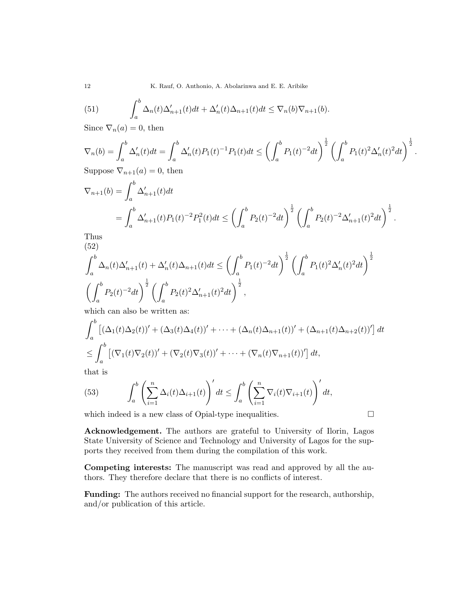(51) 
$$
\int_a^b \Delta_n(t) \Delta'_{n+1}(t) dt + \Delta'_n(t) \Delta_{n+1}(t) dt \leq \nabla_n(b) \nabla_{n+1}(b).
$$

Since  $\nabla_n(a) = 0$ , then

$$
\nabla_n(b) = \int_a^b \Delta'_n(t)dt = \int_a^b \Delta'_n(t)P_1(t)^{-1}P_1(t)dt \le \left(\int_a^b P_1(t)^{-2}dt\right)^{\frac{1}{2}} \left(\int_a^b P_1(t)^2\Delta'_n(t)^2dt\right)^{\frac{1}{2}}
$$
\nSuppose  $\nabla_n(x) = 0$ , then

Suppose  $\nabla_{n+1}(a) = 0$ , then

$$
\nabla_{n+1}(b) = \int_{a}^{b} \Delta'_{n+1}(t)dt
$$
  
=  $\int_{a}^{b} \Delta'_{n+1}(t)P_1(t)^{-2}P_1^2(t)dt \le \left(\int_{a}^{b} P_2(t)^{-2}dt\right)^{\frac{1}{2}} \left(\int_{a}^{b} P_2(t)^{-2} \Delta'_{n+1}(t)^2 dt\right)^{\frac{1}{2}}.$   
Thus

Thus (52)

$$
\int_{a}^{b} \Delta_n(t) \Delta'_{n+1}(t) + \Delta'_n(t) \Delta_{n+1}(t) dt \le \left( \int_{a}^{b} P_1(t)^{-2} dt \right)^{\frac{1}{2}} \left( \int_{a}^{b} P_1(t)^{2} \Delta'_n(t)^{2} dt \right)^{\frac{1}{2}}
$$

$$
\left( \int_{a}^{b} P_2(t)^{-2} dt \right)^{\frac{1}{2}} \left( \int_{a}^{b} P_2(t)^{2} \Delta'_{n+1}(t)^{2} dt \right)^{\frac{1}{2}},
$$

which can also be written as:

$$
\int_a^b \left[ (\Delta_1(t)\Delta_2(t))' + (\Delta_3(t)\Delta_4(t))' + \dots + (\Delta_n(t)\Delta_{n+1}(t))' + (\Delta_{n+1}(t)\Delta_{n+2}(t))' \right] dt
$$
  
\n
$$
\leq \int_a^b \left[ (\nabla_1(t)\nabla_2(t))' + (\nabla_2(t)\nabla_3(t))' + \dots + (\nabla_n(t)\nabla_{n+1}(t))' \right] dt,
$$

that is

(53) 
$$
\int_a^b \left(\sum_{i=1}^n \Delta_i(t) \Delta_{i+1}(t)\right)' dt \leq \int_a^b \left(\sum_{i=1}^n \nabla_i(t) \nabla_{i+1}(t)\right)' dt,
$$

which indeed is a new class of Opial-type inequalities.  $\Box$ 

.

Acknowledgement. The authors are grateful to University of Ilorin, Lagos State University of Science and Technology and University of Lagos for the supports they received from them during the compilation of this work.

Competing interests: The manuscript was read and approved by all the authors. They therefore declare that there is no conflicts of interest.

Funding: The authors received no financial support for the research, authorship, and/or publication of this article.